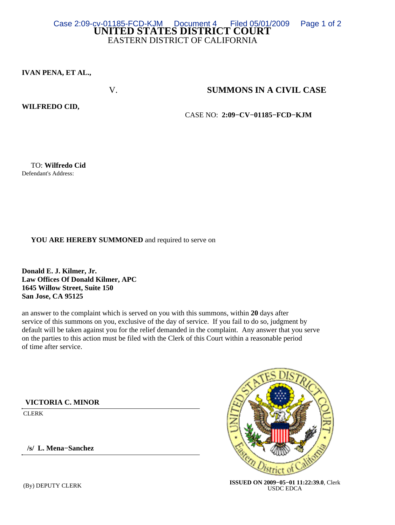## **UNITED STATES DISTRICT COURT** EASTERN DISTRICT OF CALIFORNIA Case 2:09-cv-01185-FCD-KJM Document 4 Filed 05/01/2009 Page 1 of 2

**IVAN PENA, ET AL.,**

## V. **SUMMONS IN A CIVIL CASE**

## **WILFREDO CID,**

CASE NO: **2:09−CV−01185−FCD−KJM**

 TO: **Wilfredo Cid** Defendant's Address:

## **YOU ARE HEREBY SUMMONED** and required to serve on

**Donald E. J. Kilmer, Jr. Law Offices Of Donald Kilmer, APC 1645 Willow Street, Suite 150 San Jose, CA 95125**

an answer to the complaint which is served on you with this summons, within **20** days after service of this summons on you, exclusive of the day of service. If you fail to do so, judgment by default will be taken against you for the relief demanded in the complaint. Any answer that you serve on the parties to this action must be filed with the Clerk of this Court within a reasonable period of time after service.

**VICTORIA C. MINOR**

CLERK

 **/s/ L. Mena−Sanchez**



 (By) DEPUTY CLERK **ISSUED ON 2009−05−01 11:22:39.0**, Clerk USDC EDCA